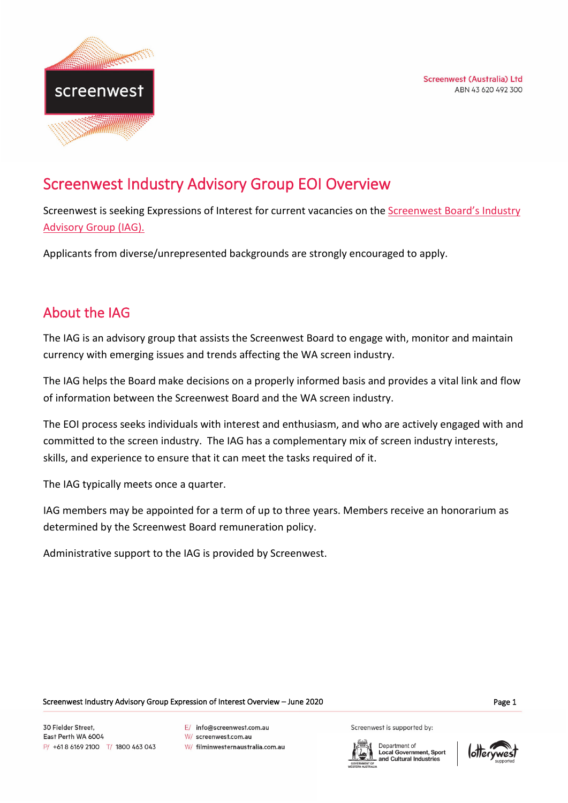



# Screenwest Industry Advisory Group EOI Overview

Screenwest is seeking Expressions of Interest for current vacancies on the Screenwest Board's Industry [Advisory Group \(IAG\).](https://www.screenwest.com.au/about/board-of-directors-iag/)

Applicants from diverse/unrepresented backgrounds are strongly encouraged to apply.

## About the IAG

The IAG is an advisory group that assists the Screenwest Board to engage with, monitor and maintain currency with emerging issues and trends affecting the WA screen industry.

The IAG helps the Board make decisions on a properly informed basis and provides a vital link and flow of information between the Screenwest Board and the WA screen industry.

The EOI process seeks individuals with interest and enthusiasm, and who are actively engaged with and committed to the screen industry. The IAG has a complementary mix of screen industry interests, skills, and experience to ensure that it can meet the tasks required of it.

The IAG typically meets once a quarter.

IAG members may be appointed for a term of up to three years. Members receive an honorarium as determined by the Screenwest Board remuneration policy.

Administrative support to the IAG is provided by Screenwest.

Screenwest Industry Advisory Group Expression of Interest Overview – June 2020 Page 1

30 Fielder Street. East Perth WA 6004 P/ +618 6169 2100 T/ 1800 463 043 F/ info@screenwest.com.au

W/ screenwest.com.au

W/ filminwesternaustralia.com.au

Screenwest is supported by:

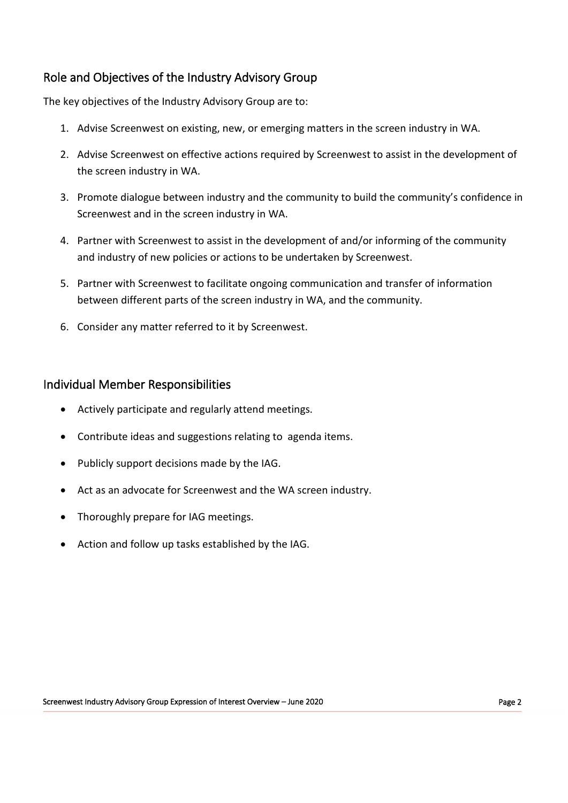### Role and Objectives of the Industry Advisory Group

The key objectives of the Industry Advisory Group are to:

- 1. Advise Screenwest on existing, new, or emerging matters in the screen industry in WA.
- 2. Advise Screenwest on effective actions required by Screenwest to assist in the development of the screen industry in WA.
- 3. Promote dialogue between industry and the community to build the community's confidence in Screenwest and in the screen industry in WA.
- 4. Partner with Screenwest to assist in the development of and/or informing of the community and industry of new policies or actions to be undertaken by Screenwest.
- 5. Partner with Screenwest to facilitate ongoing communication and transfer of information between different parts of the screen industry in WA, and the community.
- 6. Consider any matter referred to it by Screenwest.

#### Individual Member Responsibilities

- Actively participate and regularly attend meetings.
- Contribute ideas and suggestions relating to agenda items.
- Publicly support decisions made by the IAG.
- Act as an advocate for Screenwest and the WA screen industry.
- Thoroughly prepare for IAG meetings.
- Action and follow up tasks established by the IAG.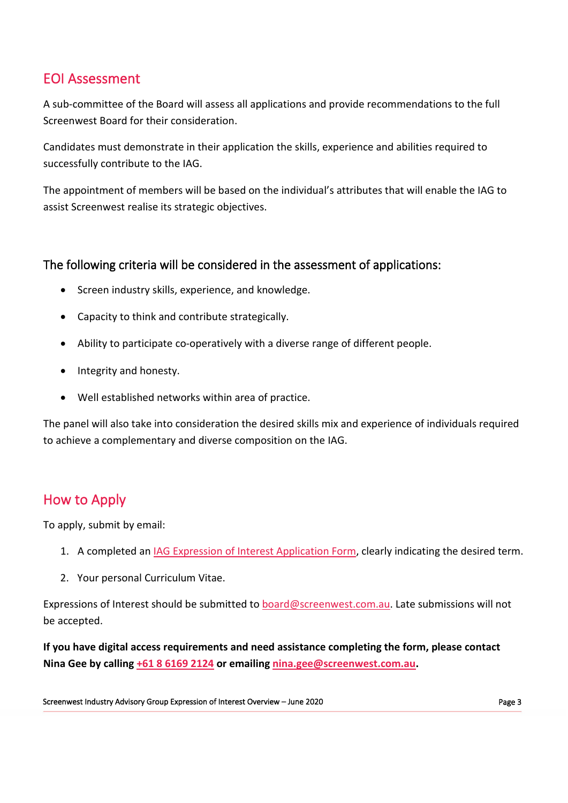### EOI Assessment

A sub-committee of the Board will assess all applications and provide recommendations to the full Screenwest Board for their consideration.

Candidates must demonstrate in their application the skills, experience and abilities required to successfully contribute to the IAG.

The appointment of members will be based on the individual's attributes that will enable the IAG to assist Screenwest realise its strategic objectives.

#### The following criteria will be considered in the assessment of applications:

- Screen industry skills, experience, and knowledge.
- Capacity to think and contribute strategically.
- Ability to participate co-operatively with a diverse range of different people.
- Integrity and honesty.
- Well established networks within area of practice.

The panel will also take into consideration the desired skills mix and experience of individuals required to achieve a complementary and diverse composition on the IAG.

## How to Apply

To apply, submit by email:

- 1. A completed an [IAG Expression of Interest Application Form,](https://www.screenwest.com.au/wp-content/uploads/2020/06/Screenwest-Industry-Advisory-Group-Appointment-Expression-of-Interest-Form-June-2020.docx) clearly indicating the desired term.
- 2. Your personal Curriculum Vitae.

Expressions of Interest should be submitted to [board@screenwest.com.au.](mailto:board@screenwest.com.au) Late submissions will not be accepted.

**If you have digital access requirements and need assistance completing the form, please contact Nina Gee by calling [+61 8 6169 2124](tel:+61861692124) or emailing [nina.gee@screenwest.com.au.](mailto:nina.gee@screenwest.com.au)**